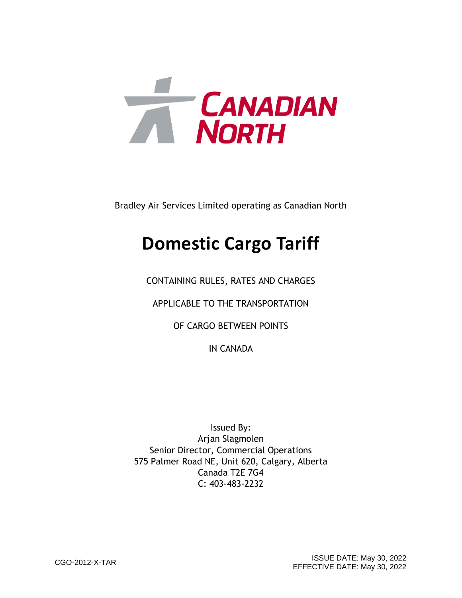

Bradley Air Services Limited operating as Canadian North

# **Domestic Cargo Tariff**

CONTAINING RULES, RATES AND CHARGES

APPLICABLE TO THE TRANSPORTATION

OF CARGO BETWEEN POINTS

IN CANADA

Issued By: Arjan Slagmolen Senior Director, Commercial Operations 575 Palmer Road NE, Unit 620, Calgary, Alberta Canada T2E 7G4 C: 403-483-2232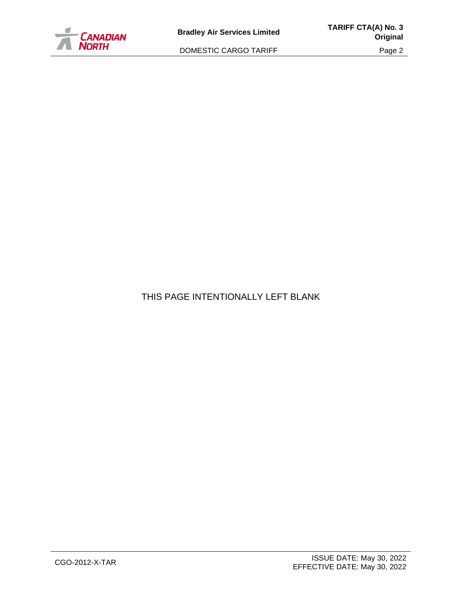

THIS PAGE INTENTIONALLY LEFT BLANK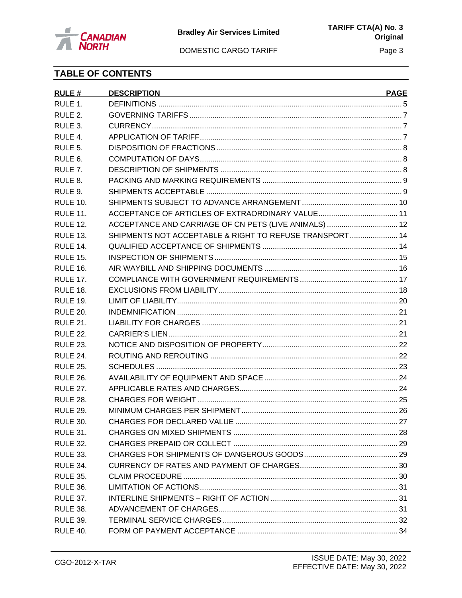

# **TABLE OF CONTENTS**

| <b>RULE#</b>    | <b>DESCRIPTION</b>                                      | <b>PAGE</b> |
|-----------------|---------------------------------------------------------|-------------|
| RULE 1.         |                                                         |             |
| RULE 2.         |                                                         |             |
| RULE 3.         |                                                         |             |
| RULE 4.         |                                                         |             |
| RULE 5.         |                                                         |             |
| RULE 6.         |                                                         |             |
| RULE 7.         |                                                         |             |
| RULE 8.         |                                                         |             |
| RULE 9.         |                                                         |             |
| <b>RULE 10.</b> |                                                         |             |
| <b>RULE 11.</b> |                                                         |             |
| <b>RULE 12.</b> | ACCEPTANCE AND CARRIAGE OF CN PETS (LIVE ANIMALS)  12   |             |
| <b>RULE 13.</b> | SHIPMENTS NOT ACCEPTABLE & RIGHT TO REFUSE TRANSPORT 14 |             |
| <b>RULE 14.</b> |                                                         |             |
| <b>RULE 15.</b> |                                                         |             |
| <b>RULE 16.</b> |                                                         |             |
| <b>RULE 17.</b> |                                                         |             |
| <b>RULE 18.</b> |                                                         |             |
| <b>RULE 19.</b> |                                                         |             |
| <b>RULE 20.</b> |                                                         |             |
| <b>RULE 21.</b> |                                                         |             |
| <b>RULE 22.</b> |                                                         |             |
| <b>RULE 23.</b> |                                                         |             |
| <b>RULE 24.</b> |                                                         |             |
| <b>RULE 25.</b> |                                                         |             |
| <b>RULE 26.</b> |                                                         |             |
| <b>RULE 27.</b> |                                                         |             |
| <b>RULE 28.</b> |                                                         |             |
| <b>RULE 29.</b> |                                                         |             |
| <b>RULE 30.</b> |                                                         |             |
| <b>RULE 31.</b> |                                                         |             |
| <b>RULE 32.</b> |                                                         |             |
| <b>RULE 33.</b> |                                                         |             |
| <b>RULE 34.</b> |                                                         |             |
| <b>RULE 35.</b> |                                                         |             |
| <b>RULE 36.</b> |                                                         |             |
| <b>RULE 37.</b> |                                                         |             |
| <b>RULE 38.</b> |                                                         |             |
| <b>RULE 39.</b> |                                                         |             |
| <b>RULE 40.</b> |                                                         |             |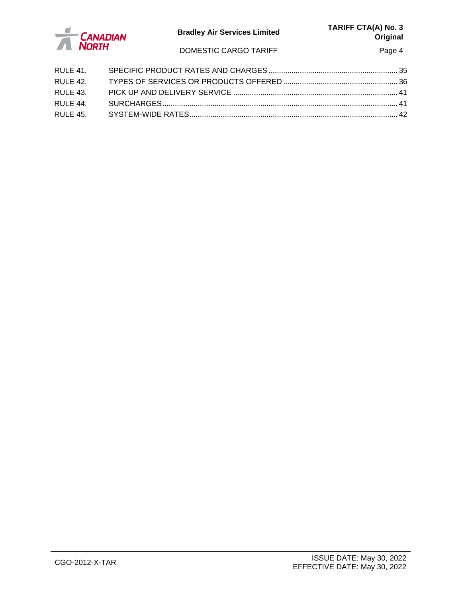

| RULE 43  |  |
|----------|--|
| RULE 44. |  |
|          |  |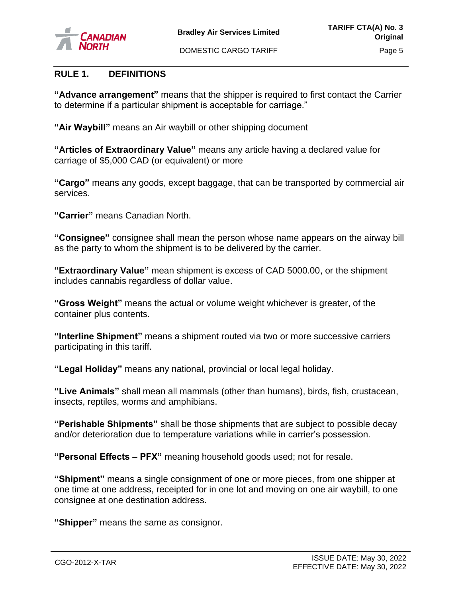

# <span id="page-4-0"></span>**RULE 1. DEFINITIONS**

**"Advance arrangement"** means that the shipper is required to first contact the Carrier to determine if a particular shipment is acceptable for carriage."

**"Air Waybill"** means an Air waybill or other shipping document

**"Articles of Extraordinary Value"** means any article having a declared value for carriage of \$5,000 CAD (or equivalent) or more

**"Cargo"** means any goods, except baggage, that can be transported by commercial air services.

**"Carrier"** means Canadian North.

**"Consignee"** consignee shall mean the person whose name appears on the airway bill as the party to whom the shipment is to be delivered by the carrier.

**"Extraordinary Value"** mean shipment is excess of CAD 5000.00, or the shipment includes cannabis regardless of dollar value.

**"Gross Weight"** means the actual or volume weight whichever is greater, of the container plus contents.

**"Interline Shipment"** means a shipment routed via two or more successive carriers participating in this tariff.

**"Legal Holiday"** means any national, provincial or local legal holiday.

**"Live Animals"** shall mean all mammals (other than humans), birds, fish, crustacean, insects, reptiles, worms and amphibians.

**"Perishable Shipments"** shall be those shipments that are subject to possible decay and/or deterioration due to temperature variations while in carrier's possession.

**"Personal Effects – PFX"** meaning household goods used; not for resale.

**"Shipment"** means a single consignment of one or more pieces, from one shipper at one time at one address, receipted for in one lot and moving on one air waybill, to one consignee at one destination address.

**"Shipper"** means the same as consignor.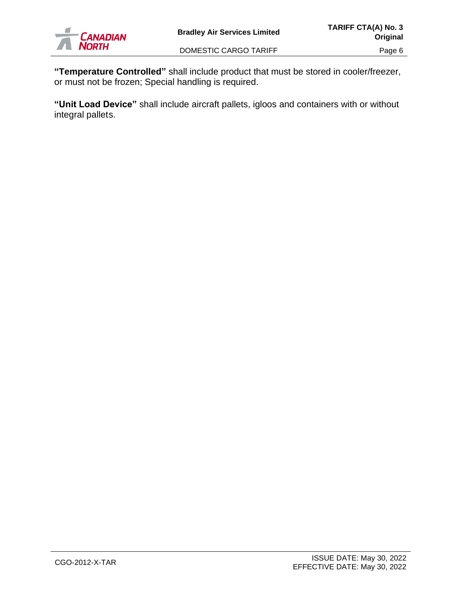

**"Temperature Controlled"** shall include product that must be stored in cooler/freezer, or must not be frozen; Special handling is required.

**"Unit Load Device"** shall include aircraft pallets, igloos and containers with or without integral pallets.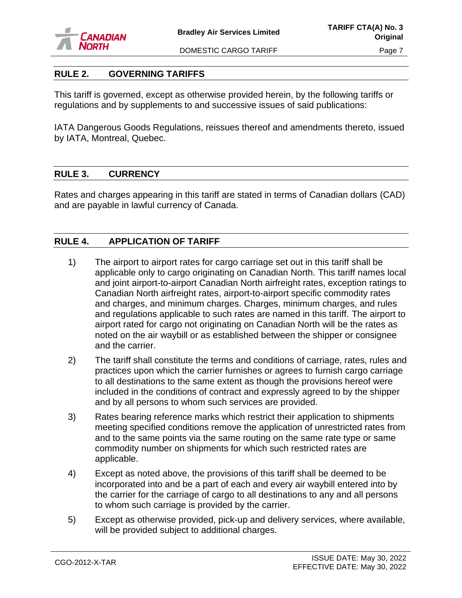

### <span id="page-6-0"></span>**RULE 2. GOVERNING TARIFFS**

This tariff is governed, except as otherwise provided herein, by the following tariffs or regulations and by supplements to and successive issues of said publications:

IATA Dangerous Goods Regulations, reissues thereof and amendments thereto, issued by IATA, Montreal, Quebec.

#### <span id="page-6-1"></span>**RULE 3. CURRENCY**

Rates and charges appearing in this tariff are stated in terms of Canadian dollars (CAD) and are payable in lawful currency of Canada.

#### <span id="page-6-2"></span>**RULE 4. APPLICATION OF TARIFF**

- 1) The airport to airport rates for cargo carriage set out in this tariff shall be applicable only to cargo originating on Canadian North. This tariff names local and joint airport-to-airport Canadian North airfreight rates, exception ratings to Canadian North airfreight rates, airport-to-airport specific commodity rates and charges, and minimum charges. Charges, minimum charges, and rules and regulations applicable to such rates are named in this tariff. The airport to airport rated for cargo not originating on Canadian North will be the rates as noted on the air waybill or as established between the shipper or consignee and the carrier.
- 2) The tariff shall constitute the terms and conditions of carriage, rates, rules and practices upon which the carrier furnishes or agrees to furnish cargo carriage to all destinations to the same extent as though the provisions hereof were included in the conditions of contract and expressly agreed to by the shipper and by all persons to whom such services are provided.
- 3) Rates bearing reference marks which restrict their application to shipments meeting specified conditions remove the application of unrestricted rates from and to the same points via the same routing on the same rate type or same commodity number on shipments for which such restricted rates are applicable.
- 4) Except as noted above, the provisions of this tariff shall be deemed to be incorporated into and be a part of each and every air waybill entered into by the carrier for the carriage of cargo to all destinations to any and all persons to whom such carriage is provided by the carrier.
- 5) Except as otherwise provided, pick-up and delivery services, where available, will be provided subject to additional charges.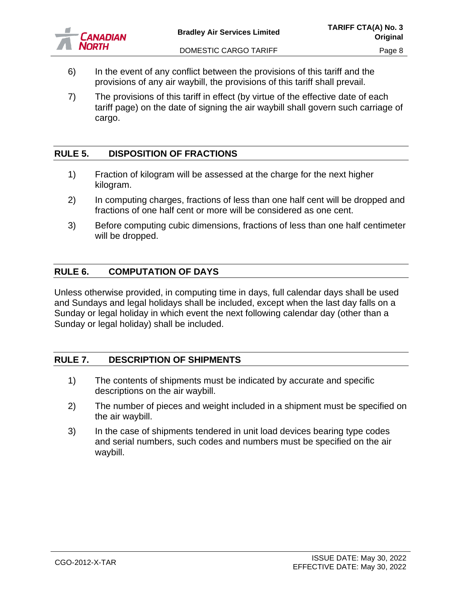

- 6) In the event of any conflict between the provisions of this tariff and the provisions of any air waybill, the provisions of this tariff shall prevail.
- 7) The provisions of this tariff in effect (by virtue of the effective date of each tariff page) on the date of signing the air waybill shall govern such carriage of cargo.

#### <span id="page-7-0"></span>**RULE 5. DISPOSITION OF FRACTIONS**

- 1) Fraction of kilogram will be assessed at the charge for the next higher kilogram.
- 2) In computing charges, fractions of less than one half cent will be dropped and fractions of one half cent or more will be considered as one cent.
- 3) Before computing cubic dimensions, fractions of less than one half centimeter will be dropped.

#### <span id="page-7-1"></span>**RULE 6. COMPUTATION OF DAYS**

Unless otherwise provided, in computing time in days, full calendar days shall be used and Sundays and legal holidays shall be included, except when the last day falls on a Sunday or legal holiday in which event the next following calendar day (other than a Sunday or legal holiday) shall be included.

#### <span id="page-7-2"></span>**RULE 7. DESCRIPTION OF SHIPMENTS**

- 1) The contents of shipments must be indicated by accurate and specific descriptions on the air waybill.
- 2) The number of pieces and weight included in a shipment must be specified on the air waybill.
- 3) In the case of shipments tendered in unit load devices bearing type codes and serial numbers, such codes and numbers must be specified on the air waybill.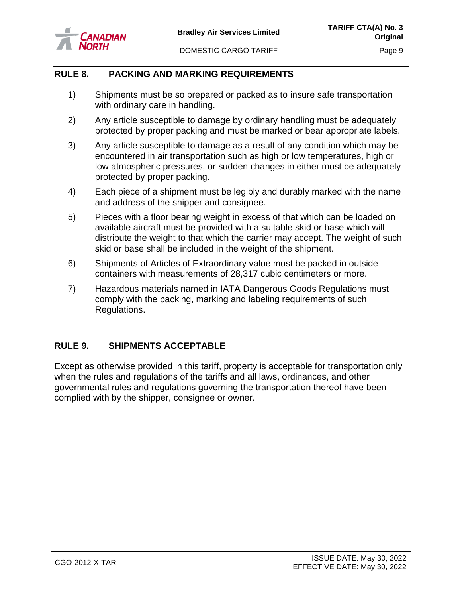#### <span id="page-8-0"></span>**RULE 8. PACKING AND MARKING REQUIREMENTS**

- 1) Shipments must be so prepared or packed as to insure safe transportation with ordinary care in handling.
- 2) Any article susceptible to damage by ordinary handling must be adequately protected by proper packing and must be marked or bear appropriate labels.
- 3) Any article susceptible to damage as a result of any condition which may be encountered in air transportation such as high or low temperatures, high or low atmospheric pressures, or sudden changes in either must be adequately protected by proper packing.
- 4) Each piece of a shipment must be legibly and durably marked with the name and address of the shipper and consignee.
- 5) Pieces with a floor bearing weight in excess of that which can be loaded on available aircraft must be provided with a suitable skid or base which will distribute the weight to that which the carrier may accept. The weight of such skid or base shall be included in the weight of the shipment.
- 6) Shipments of Articles of Extraordinary value must be packed in outside containers with measurements of 28,317 cubic centimeters or more.
- 7) Hazardous materials named in IATA Dangerous Goods Regulations must comply with the packing, marking and labeling requirements of such Regulations.

# <span id="page-8-1"></span>**RULE 9. SHIPMENTS ACCEPTABLE**

Except as otherwise provided in this tariff, property is acceptable for transportation only when the rules and regulations of the tariffs and all laws, ordinances, and other governmental rules and regulations governing the transportation thereof have been complied with by the shipper, consignee or owner.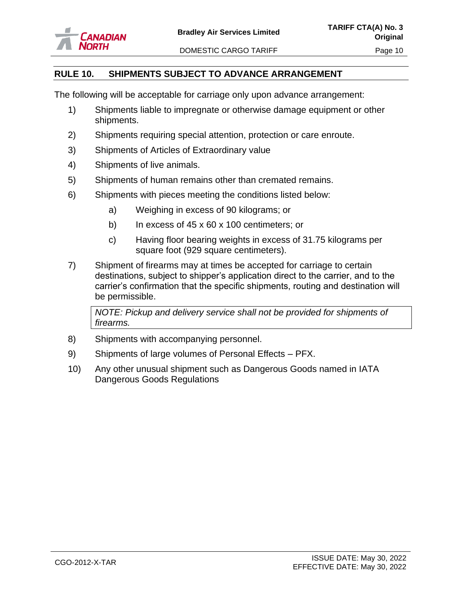DOMESTIC CARGO TARIFF PAGE 10

<span id="page-9-0"></span>The following will be acceptable for carriage only upon advance arrangement:

- 1) Shipments liable to impregnate or otherwise damage equipment or other shipments.
- 2) Shipments requiring special attention, protection or care enroute.
- 3) Shipments of Articles of Extraordinary value
- 4) Shipments of live animals.
- 5) Shipments of human remains other than cremated remains.
- 6) Shipments with pieces meeting the conditions listed below:
	- a) Weighing in excess of 90 kilograms; or
	- b) In excess of 45 x 60 x 100 centimeters; or
	- c) Having floor bearing weights in excess of 31.75 kilograms per square foot (929 square centimeters).
- 7) Shipment of firearms may at times be accepted for carriage to certain destinations, subject to shipper's application direct to the carrier, and to the carrier's confirmation that the specific shipments, routing and destination will be permissible.

*NOTE: Pickup and delivery service shall not be provided for shipments of firearms.*

- 8) Shipments with accompanying personnel.
- 9) Shipments of large volumes of Personal Effects PFX.
- 10) Any other unusual shipment such as Dangerous Goods named in IATA Dangerous Goods Regulations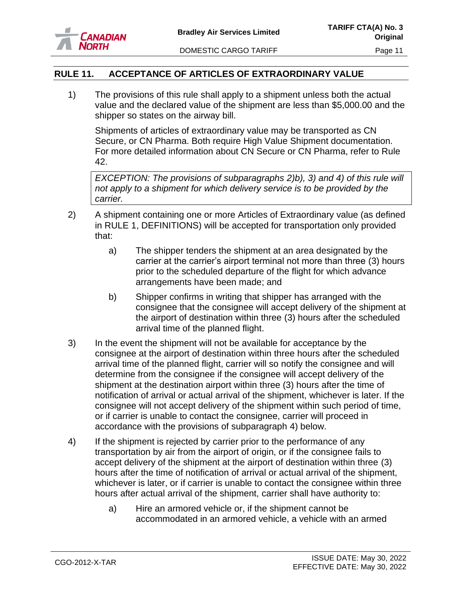

#### <span id="page-10-0"></span>**RULE 11. ACCEPTANCE OF ARTICLES OF EXTRAORDINARY VALUE**

1) The provisions of this rule shall apply to a shipment unless both the actual value and the declared value of the shipment are less than \$5,000.00 and the shipper so states on the airway bill.

Shipments of articles of extraordinary value may be transported as CN Secure, or CN Pharma. Both require High Value Shipment documentation. For more detailed information about CN Secure or CN Pharma, refer to Rule 42.

*EXCEPTION: The provisions of subparagraphs 2)b), 3) and 4) of this rule will not apply to a shipment for which delivery service is to be provided by the carrier.*

- 2) A shipment containing one or more Articles of Extraordinary value (as defined in RULE 1, DEFINITIONS) will be accepted for transportation only provided that:
	- a) The shipper tenders the shipment at an area designated by the carrier at the carrier's airport terminal not more than three (3) hours prior to the scheduled departure of the flight for which advance arrangements have been made; and
	- b) Shipper confirms in writing that shipper has arranged with the consignee that the consignee will accept delivery of the shipment at the airport of destination within three (3) hours after the scheduled arrival time of the planned flight.
- 3) In the event the shipment will not be available for acceptance by the consignee at the airport of destination within three hours after the scheduled arrival time of the planned flight, carrier will so notify the consignee and will determine from the consignee if the consignee will accept delivery of the shipment at the destination airport within three (3) hours after the time of notification of arrival or actual arrival of the shipment, whichever is later. If the consignee will not accept delivery of the shipment within such period of time, or if carrier is unable to contact the consignee, carrier will proceed in accordance with the provisions of subparagraph 4) below.
- 4) If the shipment is rejected by carrier prior to the performance of any transportation by air from the airport of origin, or if the consignee fails to accept delivery of the shipment at the airport of destination within three (3) hours after the time of notification of arrival or actual arrival of the shipment, whichever is later, or if carrier is unable to contact the consignee within three hours after actual arrival of the shipment, carrier shall have authority to:
	- a) Hire an armored vehicle or, if the shipment cannot be accommodated in an armored vehicle, a vehicle with an armed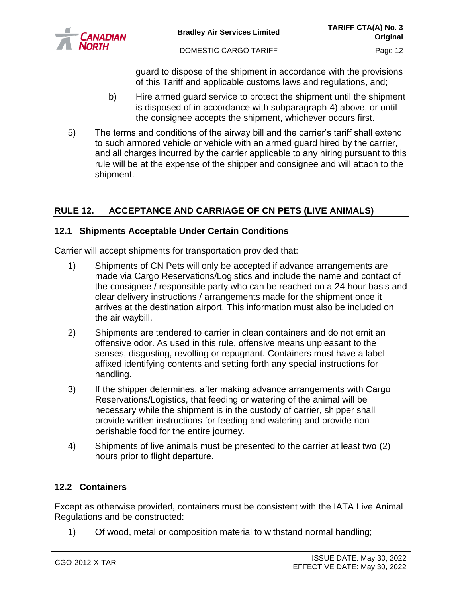

guard to dispose of the shipment in accordance with the provisions of this Tariff and applicable customs laws and regulations, and;

- b) Hire armed guard service to protect the shipment until the shipment is disposed of in accordance with subparagraph 4) above, or until the consignee accepts the shipment, whichever occurs first.
- 5) The terms and conditions of the airway bill and the carrier's tariff shall extend to such armored vehicle or vehicle with an armed guard hired by the carrier, and all charges incurred by the carrier applicable to any hiring pursuant to this rule will be at the expense of the shipper and consignee and will attach to the shipment.

# <span id="page-11-0"></span>**RULE 12. ACCEPTANCE AND CARRIAGE OF CN PETS (LIVE ANIMALS)**

### **12.1 Shipments Acceptable Under Certain Conditions**

Carrier will accept shipments for transportation provided that:

- 1) Shipments of CN Pets will only be accepted if advance arrangements are made via Cargo Reservations/Logistics and include the name and contact of the consignee / responsible party who can be reached on a 24-hour basis and clear delivery instructions / arrangements made for the shipment once it arrives at the destination airport. This information must also be included on the air waybill.
- 2) Shipments are tendered to carrier in clean containers and do not emit an offensive odor. As used in this rule, offensive means unpleasant to the senses, disgusting, revolting or repugnant. Containers must have a label affixed identifying contents and setting forth any special instructions for handling.
- 3) If the shipper determines, after making advance arrangements with Cargo Reservations/Logistics, that feeding or watering of the animal will be necessary while the shipment is in the custody of carrier, shipper shall provide written instructions for feeding and watering and provide nonperishable food for the entire journey.
- 4) Shipments of live animals must be presented to the carrier at least two (2) hours prior to flight departure.

# **12.2 Containers**

Except as otherwise provided, containers must be consistent with the IATA Live Animal Regulations and be constructed:

1) Of wood, metal or composition material to withstand normal handling;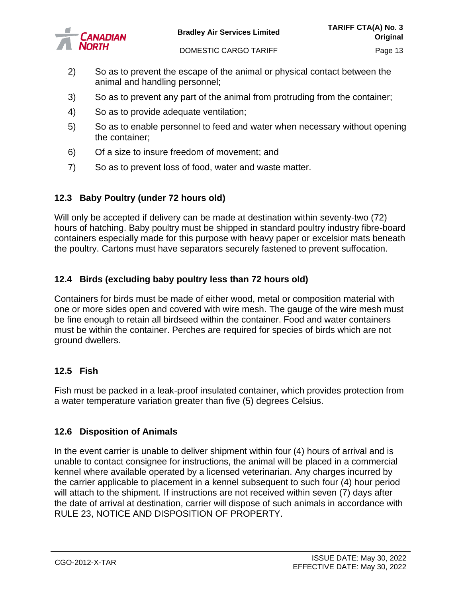

- 2) So as to prevent the escape of the animal or physical contact between the animal and handling personnel;
- 3) So as to prevent any part of the animal from protruding from the container;
- 4) So as to provide adequate ventilation;
- 5) So as to enable personnel to feed and water when necessary without opening the container;
- 6) Of a size to insure freedom of movement; and
- 7) So as to prevent loss of food, water and waste matter.

# **12.3 Baby Poultry (under 72 hours old)**

Will only be accepted if delivery can be made at destination within seventy-two (72) hours of hatching. Baby poultry must be shipped in standard poultry industry fibre-board containers especially made for this purpose with heavy paper or excelsior mats beneath the poultry. Cartons must have separators securely fastened to prevent suffocation.

# **12.4 Birds (excluding baby poultry less than 72 hours old)**

Containers for birds must be made of either wood, metal or composition material with one or more sides open and covered with wire mesh. The gauge of the wire mesh must be fine enough to retain all birdseed within the container. Food and water containers must be within the container. Perches are required for species of birds which are not ground dwellers.

# **12.5 Fish**

Fish must be packed in a leak-proof insulated container, which provides protection from a water temperature variation greater than five (5) degrees Celsius.

# **12.6 Disposition of Animals**

In the event carrier is unable to deliver shipment within four (4) hours of arrival and is unable to contact consignee for instructions, the animal will be placed in a commercial kennel where available operated by a licensed veterinarian. Any charges incurred by the carrier applicable to placement in a kennel subsequent to such four (4) hour period will attach to the shipment. If instructions are not received within seven (7) days after the date of arrival at destination, carrier will dispose of such animals in accordance with RULE 23, NOTICE AND DISPOSITION OF PROPERTY.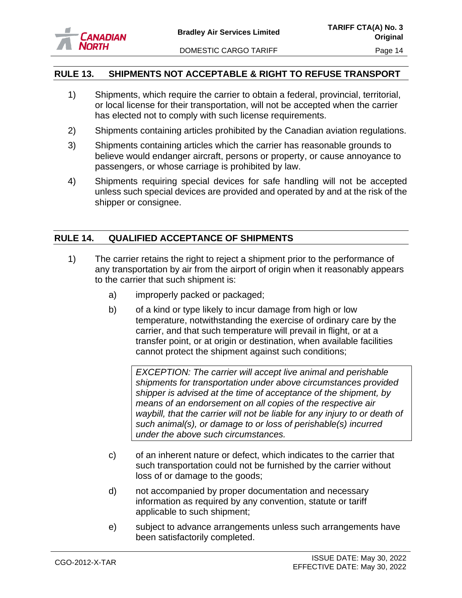#### <span id="page-13-0"></span>**RULE 13. SHIPMENTS NOT ACCEPTABLE & RIGHT TO REFUSE TRANSPORT**

- 1) Shipments, which require the carrier to obtain a federal, provincial, territorial, or local license for their transportation, will not be accepted when the carrier has elected not to comply with such license requirements.
- 2) Shipments containing articles prohibited by the Canadian aviation regulations.
- 3) Shipments containing articles which the carrier has reasonable grounds to believe would endanger aircraft, persons or property, or cause annoyance to passengers, or whose carriage is prohibited by law.
- 4) Shipments requiring special devices for safe handling will not be accepted unless such special devices are provided and operated by and at the risk of the shipper or consignee.

#### <span id="page-13-1"></span>**RULE 14. QUALIFIED ACCEPTANCE OF SHIPMENTS**

- 1) The carrier retains the right to reject a shipment prior to the performance of any transportation by air from the airport of origin when it reasonably appears to the carrier that such shipment is:
	- a) improperly packed or packaged;
	- b) of a kind or type likely to incur damage from high or low temperature, notwithstanding the exercise of ordinary care by the carrier, and that such temperature will prevail in flight, or at a transfer point, or at origin or destination, when available facilities cannot protect the shipment against such conditions;

*EXCEPTION: The carrier will accept live animal and perishable shipments for transportation under above circumstances provided shipper is advised at the time of acceptance of the shipment, by means of an endorsement on all copies of the respective air waybill, that the carrier will not be liable for any injury to or death of such animal(s), or damage to or loss of perishable(s) incurred under the above such circumstances.*

- c) of an inherent nature or defect, which indicates to the carrier that such transportation could not be furnished by the carrier without loss of or damage to the goods;
- d) not accompanied by proper documentation and necessary information as required by any convention, statute or tariff applicable to such shipment;
- e) subject to advance arrangements unless such arrangements have been satisfactorily completed.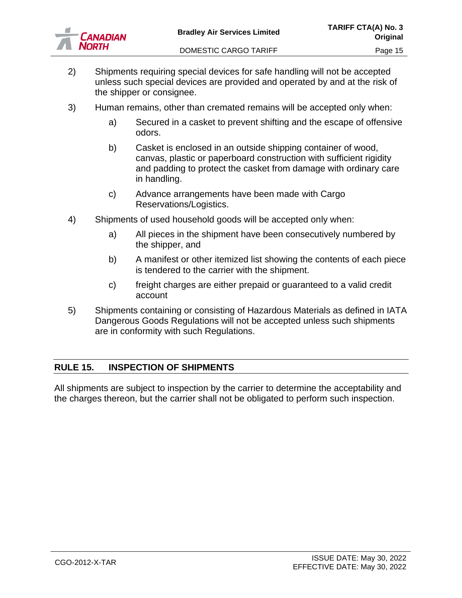

- 2) Shipments requiring special devices for safe handling will not be accepted unless such special devices are provided and operated by and at the risk of the shipper or consignee.
- 3) Human remains, other than cremated remains will be accepted only when:
	- a) Secured in a casket to prevent shifting and the escape of offensive odors.
	- b) Casket is enclosed in an outside shipping container of wood, canvas, plastic or paperboard construction with sufficient rigidity and padding to protect the casket from damage with ordinary care in handling.
	- c) Advance arrangements have been made with Cargo Reservations/Logistics.
- 4) Shipments of used household goods will be accepted only when:
	- a) All pieces in the shipment have been consecutively numbered by the shipper, and
	- b) A manifest or other itemized list showing the contents of each piece is tendered to the carrier with the shipment.
	- c) freight charges are either prepaid or guaranteed to a valid credit account
- 5) Shipments containing or consisting of Hazardous Materials as defined in IATA Dangerous Goods Regulations will not be accepted unless such shipments are in conformity with such Regulations.

#### <span id="page-14-0"></span>**RULE 15. INSPECTION OF SHIPMENTS**

All shipments are subject to inspection by the carrier to determine the acceptability and the charges thereon, but the carrier shall not be obligated to perform such inspection.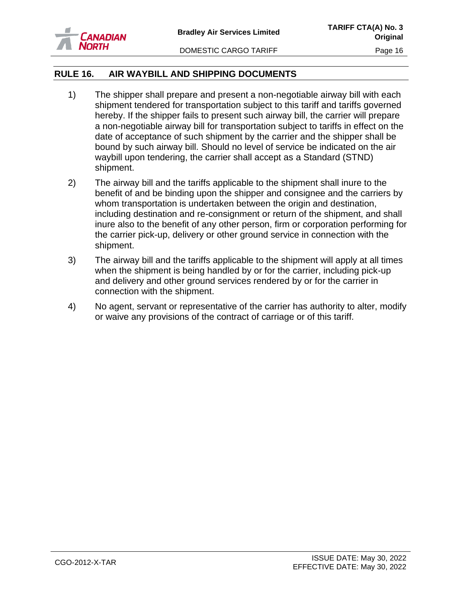

DOMESTIC CARGO TARIFF PAGE 16

# <span id="page-15-0"></span>**RULE 16. AIR WAYBILL AND SHIPPING DOCUMENTS**

- 1) The shipper shall prepare and present a non-negotiable airway bill with each shipment tendered for transportation subject to this tariff and tariffs governed hereby. If the shipper fails to present such airway bill, the carrier will prepare a non-negotiable airway bill for transportation subject to tariffs in effect on the date of acceptance of such shipment by the carrier and the shipper shall be bound by such airway bill. Should no level of service be indicated on the air waybill upon tendering, the carrier shall accept as a Standard (STND) shipment.
- 2) The airway bill and the tariffs applicable to the shipment shall inure to the benefit of and be binding upon the shipper and consignee and the carriers by whom transportation is undertaken between the origin and destination, including destination and re-consignment or return of the shipment, and shall inure also to the benefit of any other person, firm or corporation performing for the carrier pick-up, delivery or other ground service in connection with the shipment.
- 3) The airway bill and the tariffs applicable to the shipment will apply at all times when the shipment is being handled by or for the carrier, including pick-up and delivery and other ground services rendered by or for the carrier in connection with the shipment.
- 4) No agent, servant or representative of the carrier has authority to alter, modify or waive any provisions of the contract of carriage or of this tariff.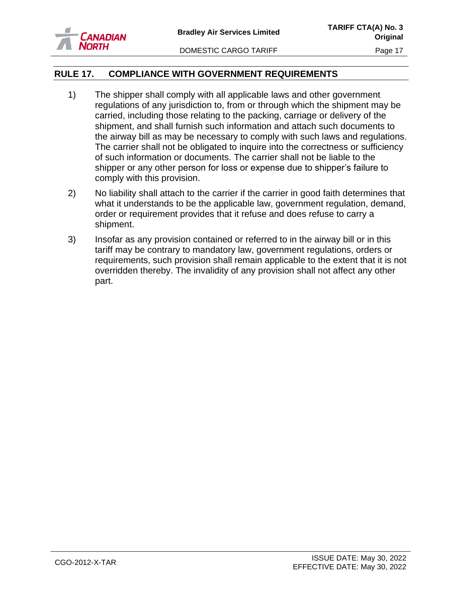

#### <span id="page-16-0"></span>**RULE 17. COMPLIANCE WITH GOVERNMENT REQUIREMENTS**

- 1) The shipper shall comply with all applicable laws and other government regulations of any jurisdiction to, from or through which the shipment may be carried, including those relating to the packing, carriage or delivery of the shipment, and shall furnish such information and attach such documents to the airway bill as may be necessary to comply with such laws and regulations. The carrier shall not be obligated to inquire into the correctness or sufficiency of such information or documents. The carrier shall not be liable to the shipper or any other person for loss or expense due to shipper's failure to comply with this provision.
- 2) No liability shall attach to the carrier if the carrier in good faith determines that what it understands to be the applicable law, government regulation, demand, order or requirement provides that it refuse and does refuse to carry a shipment.
- 3) Insofar as any provision contained or referred to in the airway bill or in this tariff may be contrary to mandatory law, government regulations, orders or requirements, such provision shall remain applicable to the extent that it is not overridden thereby. The invalidity of any provision shall not affect any other part.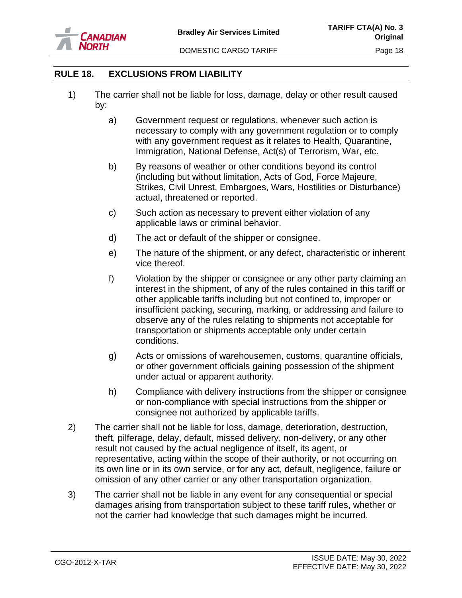

#### <span id="page-17-0"></span>**RULE 18. EXCLUSIONS FROM LIABILITY**

- 1) The carrier shall not be liable for loss, damage, delay or other result caused by:
	- a) Government request or regulations, whenever such action is necessary to comply with any government regulation or to comply with any government request as it relates to Health, Quarantine, Immigration, National Defense, Act(s) of Terrorism, War, etc.
	- b) By reasons of weather or other conditions beyond its control (including but without limitation, Acts of God, Force Majeure, Strikes, Civil Unrest, Embargoes, Wars, Hostilities or Disturbance) actual, threatened or reported.
	- c) Such action as necessary to prevent either violation of any applicable laws or criminal behavior.
	- d) The act or default of the shipper or consignee.
	- e) The nature of the shipment, or any defect, characteristic or inherent vice thereof.
	- f) Violation by the shipper or consignee or any other party claiming an interest in the shipment, of any of the rules contained in this tariff or other applicable tariffs including but not confined to, improper or insufficient packing, securing, marking, or addressing and failure to observe any of the rules relating to shipments not acceptable for transportation or shipments acceptable only under certain conditions.
	- g) Acts or omissions of warehousemen, customs, quarantine officials, or other government officials gaining possession of the shipment under actual or apparent authority.
	- h) Compliance with delivery instructions from the shipper or consignee or non-compliance with special instructions from the shipper or consignee not authorized by applicable tariffs.
- 2) The carrier shall not be liable for loss, damage, deterioration, destruction, theft, pilferage, delay, default, missed delivery, non-delivery, or any other result not caused by the actual negligence of itself, its agent, or representative, acting within the scope of their authority, or not occurring on its own line or in its own service, or for any act, default, negligence, failure or omission of any other carrier or any other transportation organization.
- 3) The carrier shall not be liable in any event for any consequential or special damages arising from transportation subject to these tariff rules, whether or not the carrier had knowledge that such damages might be incurred.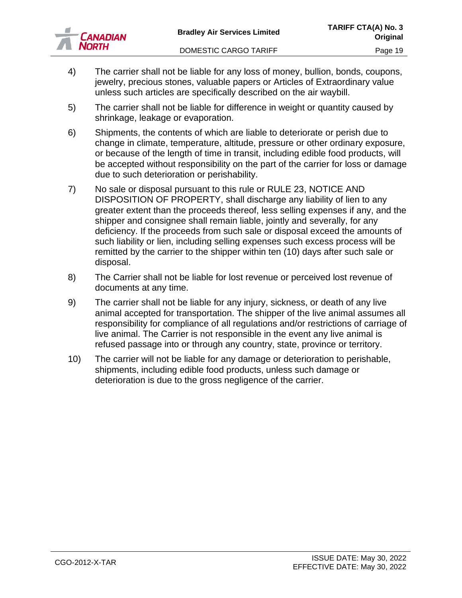

- 4) The carrier shall not be liable for any loss of money, bullion, bonds, coupons, jewelry, precious stones, valuable papers or Articles of Extraordinary value unless such articles are specifically described on the air waybill.
- 5) The carrier shall not be liable for difference in weight or quantity caused by shrinkage, leakage or evaporation.
- 6) Shipments, the contents of which are liable to deteriorate or perish due to change in climate, temperature, altitude, pressure or other ordinary exposure, or because of the length of time in transit, including edible food products, will be accepted without responsibility on the part of the carrier for loss or damage due to such deterioration or perishability.
- 7) No sale or disposal pursuant to this rule or RULE 23, NOTICE AND DISPOSITION OF PROPERTY, shall discharge any liability of lien to any greater extent than the proceeds thereof, less selling expenses if any, and the shipper and consignee shall remain liable, jointly and severally, for any deficiency. If the proceeds from such sale or disposal exceed the amounts of such liability or lien, including selling expenses such excess process will be remitted by the carrier to the shipper within ten (10) days after such sale or disposal.
- 8) The Carrier shall not be liable for lost revenue or perceived lost revenue of documents at any time.
- 9) The carrier shall not be liable for any injury, sickness, or death of any live animal accepted for transportation. The shipper of the live animal assumes all responsibility for compliance of all regulations and/or restrictions of carriage of live animal. The Carrier is not responsible in the event any live animal is refused passage into or through any country, state, province or territory.
- 10) The carrier will not be liable for any damage or deterioration to perishable, shipments, including edible food products, unless such damage or deterioration is due to the gross negligence of the carrier.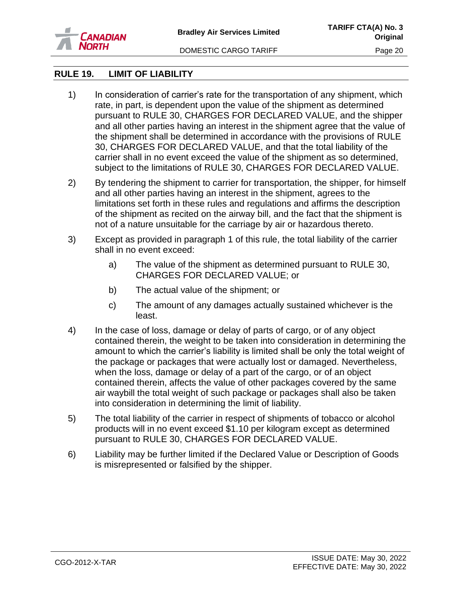

#### <span id="page-19-0"></span>**RULE 19. LIMIT OF LIABILITY**

- 1) In consideration of carrier's rate for the transportation of any shipment, which rate, in part, is dependent upon the value of the shipment as determined pursuant to RULE 30, CHARGES FOR DECLARED VALUE, and the shipper and all other parties having an interest in the shipment agree that the value of the shipment shall be determined in accordance with the provisions of RULE 30, CHARGES FOR DECLARED VALUE, and that the total liability of the carrier shall in no event exceed the value of the shipment as so determined, subject to the limitations of RULE 30, CHARGES FOR DECLARED VALUE.
- 2) By tendering the shipment to carrier for transportation, the shipper, for himself and all other parties having an interest in the shipment, agrees to the limitations set forth in these rules and regulations and affirms the description of the shipment as recited on the airway bill, and the fact that the shipment is not of a nature unsuitable for the carriage by air or hazardous thereto.
- 3) Except as provided in paragraph 1 of this rule, the total liability of the carrier shall in no event exceed:
	- a) The value of the shipment as determined pursuant to RULE 30, CHARGES FOR DECLARED VALUE; or
	- b) The actual value of the shipment; or
	- c) The amount of any damages actually sustained whichever is the least.
- 4) In the case of loss, damage or delay of parts of cargo, or of any object contained therein, the weight to be taken into consideration in determining the amount to which the carrier's liability is limited shall be only the total weight of the package or packages that were actually lost or damaged. Nevertheless, when the loss, damage or delay of a part of the cargo, or of an object contained therein, affects the value of other packages covered by the same air waybill the total weight of such package or packages shall also be taken into consideration in determining the limit of liability.
- 5) The total liability of the carrier in respect of shipments of tobacco or alcohol products will in no event exceed \$1.10 per kilogram except as determined pursuant to RULE 30, CHARGES FOR DECLARED VALUE.
- 6) Liability may be further limited if the Declared Value or Description of Goods is misrepresented or falsified by the shipper.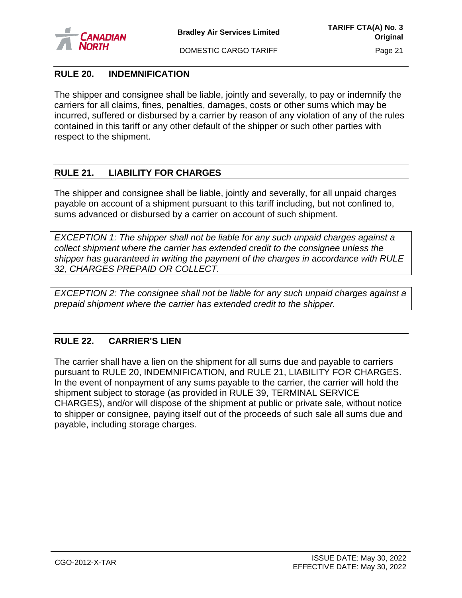

#### <span id="page-20-0"></span>**RULE 20. INDEMNIFICATION**

The shipper and consignee shall be liable, jointly and severally, to pay or indemnify the carriers for all claims, fines, penalties, damages, costs or other sums which may be incurred, suffered or disbursed by a carrier by reason of any violation of any of the rules contained in this tariff or any other default of the shipper or such other parties with respect to the shipment.

### <span id="page-20-1"></span>**RULE 21. LIABILITY FOR CHARGES**

The shipper and consignee shall be liable, jointly and severally, for all unpaid charges payable on account of a shipment pursuant to this tariff including, but not confined to, sums advanced or disbursed by a carrier on account of such shipment.

*EXCEPTION 1: The shipper shall not be liable for any such unpaid charges against a collect shipment where the carrier has extended credit to the consignee unless the shipper has guaranteed in writing the payment of the charges in accordance with RULE 32, CHARGES PREPAID OR COLLECT.*

*EXCEPTION 2: The consignee shall not be liable for any such unpaid charges against a prepaid shipment where the carrier has extended credit to the shipper.*

#### <span id="page-20-2"></span>**RULE 22. CARRIER'S LIEN**

The carrier shall have a lien on the shipment for all sums due and payable to carriers pursuant to RULE 20, INDEMNIFICATION, and RULE 21, LIABILITY FOR CHARGES. In the event of nonpayment of any sums payable to the carrier, the carrier will hold the shipment subject to storage (as provided in RULE 39, TERMINAL SERVICE CHARGES), and/or will dispose of the shipment at public or private sale, without notice to shipper or consignee, paying itself out of the proceeds of such sale all sums due and payable, including storage charges.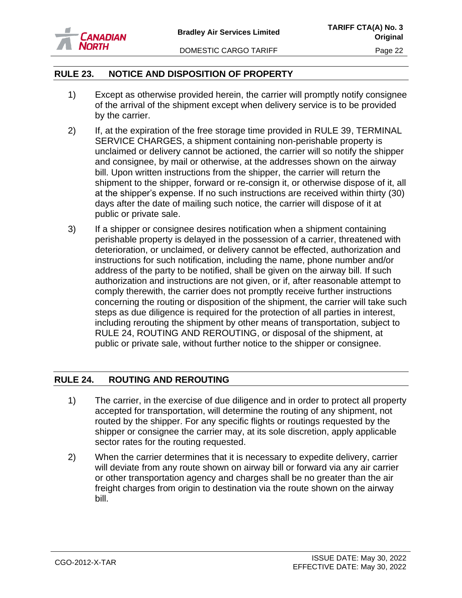

# <span id="page-21-0"></span>**RULE 23. NOTICE AND DISPOSITION OF PROPERTY**

- 1) Except as otherwise provided herein, the carrier will promptly notify consignee of the arrival of the shipment except when delivery service is to be provided by the carrier.
- 2) If, at the expiration of the free storage time provided in RULE 39, TERMINAL SERVICE CHARGES, a shipment containing non-perishable property is unclaimed or delivery cannot be actioned, the carrier will so notify the shipper and consignee, by mail or otherwise, at the addresses shown on the airway bill. Upon written instructions from the shipper, the carrier will return the shipment to the shipper, forward or re-consign it, or otherwise dispose of it, all at the shipper's expense. If no such instructions are received within thirty (30) days after the date of mailing such notice, the carrier will dispose of it at public or private sale.
- 3) If a shipper or consignee desires notification when a shipment containing perishable property is delayed in the possession of a carrier, threatened with deterioration, or unclaimed, or delivery cannot be effected, authorization and instructions for such notification, including the name, phone number and/or address of the party to be notified, shall be given on the airway bill. If such authorization and instructions are not given, or if, after reasonable attempt to comply therewith, the carrier does not promptly receive further instructions concerning the routing or disposition of the shipment, the carrier will take such steps as due diligence is required for the protection of all parties in interest, including rerouting the shipment by other means of transportation, subject to RULE 24, ROUTING AND REROUTING, or disposal of the shipment, at public or private sale, without further notice to the shipper or consignee.

# <span id="page-21-1"></span>**RULE 24. ROUTING AND REROUTING**

- 1) The carrier, in the exercise of due diligence and in order to protect all property accepted for transportation, will determine the routing of any shipment, not routed by the shipper. For any specific flights or routings requested by the shipper or consignee the carrier may, at its sole discretion, apply applicable sector rates for the routing requested.
- 2) When the carrier determines that it is necessary to expedite delivery, carrier will deviate from any route shown on airway bill or forward via any air carrier or other transportation agency and charges shall be no greater than the air freight charges from origin to destination via the route shown on the airway bill.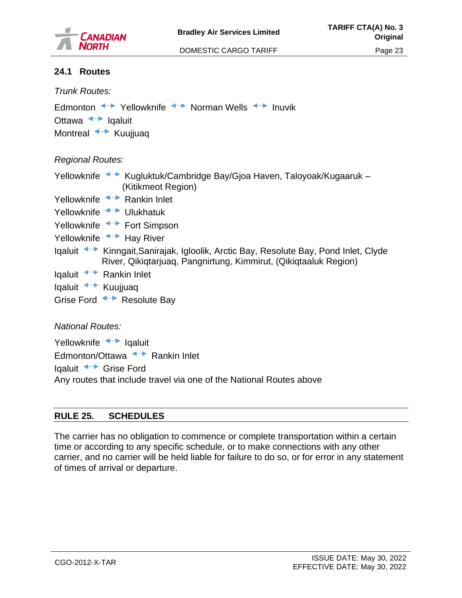

### **24.1 Routes**

*Trunk Routes:*

| Edmonton $\leftrightarrow$ Yellowknife $\leftrightarrow$ Norman Wells $\leftrightarrow$ Inuvik |  |  |  |
|------------------------------------------------------------------------------------------------|--|--|--|
| Ottawa $\leftrightarrow$ Igaluit                                                               |  |  |  |
| Montreal $\leftrightarrow$ Kuujjuaq                                                            |  |  |  |

### *Regional Routes:*

| Yellowknife <sup>4</sup> Kugluktuk/Cambridge Bay/Gjoa Haven, Taloyoak/Kugaaruk –<br>(Kitikmeot Region)                                                 |
|--------------------------------------------------------------------------------------------------------------------------------------------------------|
| Yellowknife Rankin Inlet                                                                                                                               |
| Yellowknife Vulukhatuk                                                                                                                                 |
| Yellowknife <sup>++</sup> Fort Simpson                                                                                                                 |
| Yellowknife Hay River                                                                                                                                  |
| Iqaluit Kinngait, Sanirajak, Igloolik, Arctic Bay, Resolute Bay, Pond Inlet, Clyde<br>River, Qikiqtarjuaq, Pangnirtung, Kimmirut, (Qikiqtaaluk Region) |
| Igaluit Rankin Inlet                                                                                                                                   |
| Iqaluit $\leftrightarrow$ Kuujjuaq                                                                                                                     |
| Grise Ford Resolute Bay                                                                                                                                |
|                                                                                                                                                        |

#### *National Routes:*

Yellowknife + Iqaluit Edmonton/Ottawa  $\leftrightarrow$  Rankin Inlet Iqaluit Grise Ford Any routes that include travel via one of the National Routes above

# <span id="page-22-0"></span>**RULE 25. SCHEDULES**

The carrier has no obligation to commence or complete transportation within a certain time or according to any specific schedule, or to make connections with any other carrier, and no carrier will be held liable for failure to do so, or for error in any statement of times of arrival or departure.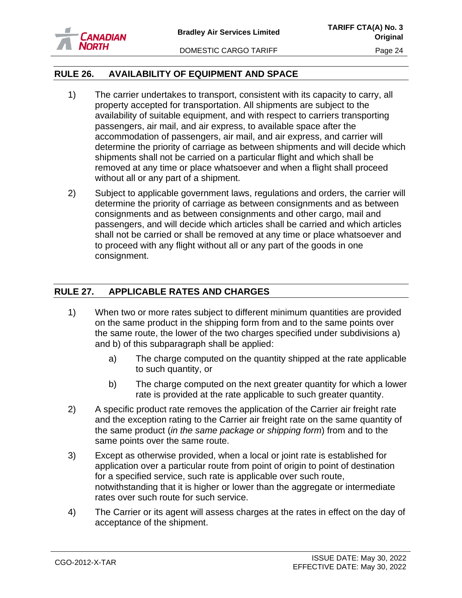#### <span id="page-23-0"></span>**RULE 26. AVAILABILITY OF EQUIPMENT AND SPACE**

- 1) The carrier undertakes to transport, consistent with its capacity to carry, all property accepted for transportation. All shipments are subject to the availability of suitable equipment, and with respect to carriers transporting passengers, air mail, and air express, to available space after the accommodation of passengers, air mail, and air express, and carrier will determine the priority of carriage as between shipments and will decide which shipments shall not be carried on a particular flight and which shall be removed at any time or place whatsoever and when a flight shall proceed without all or any part of a shipment.
- 2) Subject to applicable government laws, regulations and orders, the carrier will determine the priority of carriage as between consignments and as between consignments and as between consignments and other cargo, mail and passengers, and will decide which articles shall be carried and which articles shall not be carried or shall be removed at any time or place whatsoever and to proceed with any flight without all or any part of the goods in one consignment.

#### <span id="page-23-1"></span>**RULE 27. APPLICABLE RATES AND CHARGES**

- 1) When two or more rates subject to different minimum quantities are provided on the same product in the shipping form from and to the same points over the same route, the lower of the two charges specified under subdivisions a) and b) of this subparagraph shall be applied:
	- a) The charge computed on the quantity shipped at the rate applicable to such quantity, or
	- b) The charge computed on the next greater quantity for which a lower rate is provided at the rate applicable to such greater quantity.
- 2) A specific product rate removes the application of the Carrier air freight rate and the exception rating to the Carrier air freight rate on the same quantity of the same product (*in the same package or shipping form*) from and to the same points over the same route.
- 3) Except as otherwise provided, when a local or joint rate is established for application over a particular route from point of origin to point of destination for a specified service, such rate is applicable over such route, notwithstanding that it is higher or lower than the aggregate or intermediate rates over such route for such service.
- 4) The Carrier or its agent will assess charges at the rates in effect on the day of acceptance of the shipment.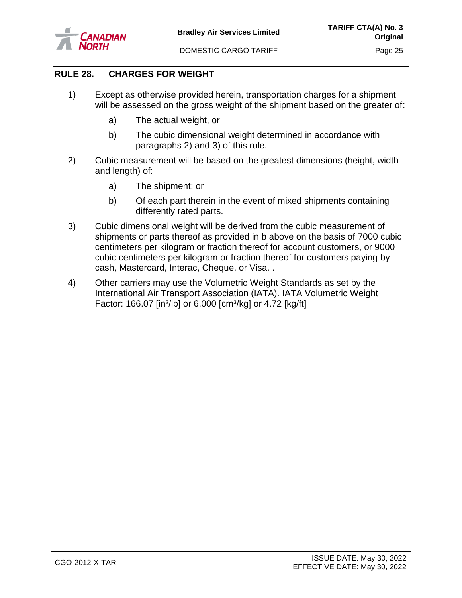

#### <span id="page-24-0"></span>**RULE 28. CHARGES FOR WEIGHT**

- 1) Except as otherwise provided herein, transportation charges for a shipment will be assessed on the gross weight of the shipment based on the greater of:
	- a) The actual weight, or
	- b) The cubic dimensional weight determined in accordance with paragraphs 2) and 3) of this rule.
- 2) Cubic measurement will be based on the greatest dimensions (height, width and length) of:
	- a) The shipment; or
	- b) Of each part therein in the event of mixed shipments containing differently rated parts.
- 3) Cubic dimensional weight will be derived from the cubic measurement of shipments or parts thereof as provided in b above on the basis of 7000 cubic centimeters per kilogram or fraction thereof for account customers, or 9000 cubic centimeters per kilogram or fraction thereof for customers paying by cash, Mastercard, Interac, Cheque, or Visa. .
- 4) Other carriers may use the Volumetric Weight Standards as set by the International Air Transport Association (IATA). IATA Volumetric Weight Factor: 166.07 [in<sup>3</sup>/lb] or 6,000 [cm<sup>3</sup>/kg] or 4.72 [kg/ft]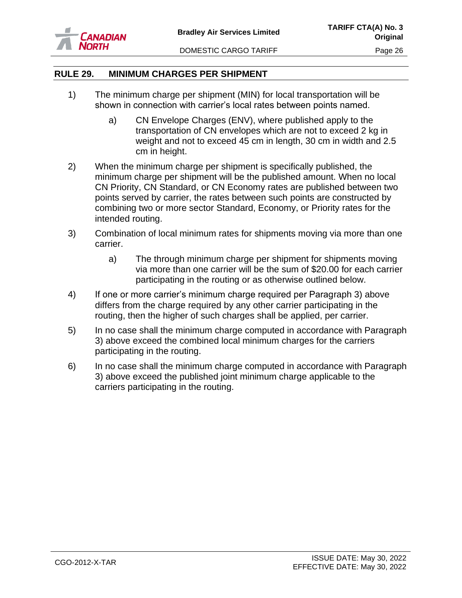

#### <span id="page-25-0"></span>**RULE 29. MINIMUM CHARGES PER SHIPMENT**

- 1) The minimum charge per shipment (MIN) for local transportation will be shown in connection with carrier's local rates between points named.
	- a) CN Envelope Charges (ENV), where published apply to the transportation of CN envelopes which are not to exceed 2 kg in weight and not to exceed 45 cm in length, 30 cm in width and 2.5 cm in height.
- 2) When the minimum charge per shipment is specifically published, the minimum charge per shipment will be the published amount. When no local CN Priority, CN Standard, or CN Economy rates are published between two points served by carrier, the rates between such points are constructed by combining two or more sector Standard, Economy, or Priority rates for the intended routing.
- 3) Combination of local minimum rates for shipments moving via more than one carrier.
	- a) The through minimum charge per shipment for shipments moving via more than one carrier will be the sum of \$20.00 for each carrier participating in the routing or as otherwise outlined below.
- 4) If one or more carrier's minimum charge required per Paragraph 3) above differs from the charge required by any other carrier participating in the routing, then the higher of such charges shall be applied, per carrier.
- 5) In no case shall the minimum charge computed in accordance with Paragraph 3) above exceed the combined local minimum charges for the carriers participating in the routing.
- 6) In no case shall the minimum charge computed in accordance with Paragraph 3) above exceed the published joint minimum charge applicable to the carriers participating in the routing.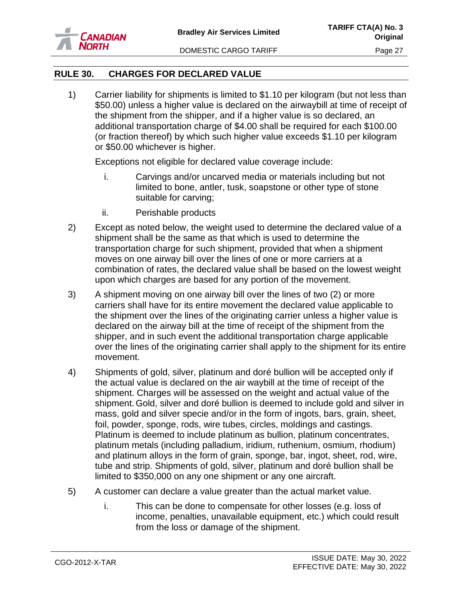

# <span id="page-26-0"></span>**RULE 30. CHARGES FOR DECLARED VALUE**

1) Carrier liability for shipments is limited to \$1.10 per kilogram (but not less than \$50.00) unless a higher value is declared on the airwaybill at time of receipt of the shipment from the shipper, and if a higher value is so declared, an additional transportation charge of \$4.00 shall be required for each \$100.00 (or fraction thereof) by which such higher value exceeds \$1.10 per kilogram or \$50.00 whichever is higher.

Exceptions not eligible for declared value coverage include:

- i. Carvings and/or uncarved media or materials including but not limited to bone, antler, tusk, soapstone or other type of stone suitable for carving;
- ii. Perishable products
- 2) Except as noted below, the weight used to determine the declared value of a shipment shall be the same as that which is used to determine the transportation charge for such shipment, provided that when a shipment moves on one airway bill over the lines of one or more carriers at a combination of rates, the declared value shall be based on the lowest weight upon which charges are based for any portion of the movement.
- 3) A shipment moving on one airway bill over the lines of two (2) or more carriers shall have for its entire movement the declared value applicable to the shipment over the lines of the originating carrier unless a higher value is declared on the airway bill at the time of receipt of the shipment from the shipper, and in such event the additional transportation charge applicable over the lines of the originating carrier shall apply to the shipment for its entire movement.
- 4) Shipments of gold, silver, platinum and doré bullion will be accepted only if the actual value is declared on the air waybill at the time of receipt of the shipment. Charges will be assessed on the weight and actual value of the shipment. Gold, silver and doré bullion is deemed to include gold and silver in mass, gold and silver specie and/or in the form of ingots, bars, grain, sheet, foil, powder, sponge, rods, wire tubes, circles, moldings and castings. Platinum is deemed to include platinum as bullion, platinum concentrates, platinum metals (including palladium, iridium, ruthenium, osmium, rhodium) and platinum alloys in the form of grain, sponge, bar, ingot, sheet, rod, wire, tube and strip. Shipments of gold, silver, platinum and doré bullion shall be limited to \$350,000 on any one shipment or any one aircraft.
- 5) A customer can declare a value greater than the actual market value.
	- i. This can be done to compensate for other losses (e.g. loss of income, penalties, unavailable equipment, etc.) which could result from the loss or damage of the shipment.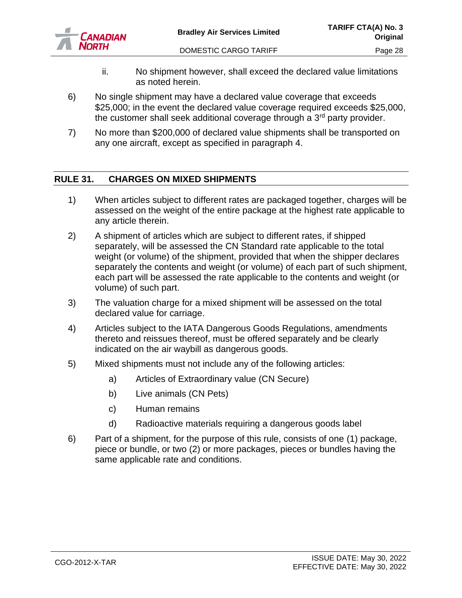

- ii. No shipment however, shall exceed the declared value limitations as noted herein.
- 6) No single shipment may have a declared value coverage that exceeds \$25,000; in the event the declared value coverage required exceeds \$25,000, the customer shall seek additional coverage through a  $3<sup>rd</sup>$  party provider.
- 7) No more than \$200,000 of declared value shipments shall be transported on any one aircraft, except as specified in paragraph 4.

#### <span id="page-27-0"></span>**RULE 31. CHARGES ON MIXED SHIPMENTS**

- 1) When articles subject to different rates are packaged together, charges will be assessed on the weight of the entire package at the highest rate applicable to any article therein.
- 2) A shipment of articles which are subject to different rates, if shipped separately, will be assessed the CN Standard rate applicable to the total weight (or volume) of the shipment, provided that when the shipper declares separately the contents and weight (or volume) of each part of such shipment, each part will be assessed the rate applicable to the contents and weight (or volume) of such part.
- 3) The valuation charge for a mixed shipment will be assessed on the total declared value for carriage.
- 4) Articles subject to the IATA Dangerous Goods Regulations, amendments thereto and reissues thereof, must be offered separately and be clearly indicated on the air waybill as dangerous goods.
- 5) Mixed shipments must not include any of the following articles:
	- a) Articles of Extraordinary value (CN Secure)
	- b) Live animals (CN Pets)
	- c) Human remains
	- d) Radioactive materials requiring a dangerous goods label
- 6) Part of a shipment, for the purpose of this rule, consists of one (1) package, piece or bundle, or two (2) or more packages, pieces or bundles having the same applicable rate and conditions.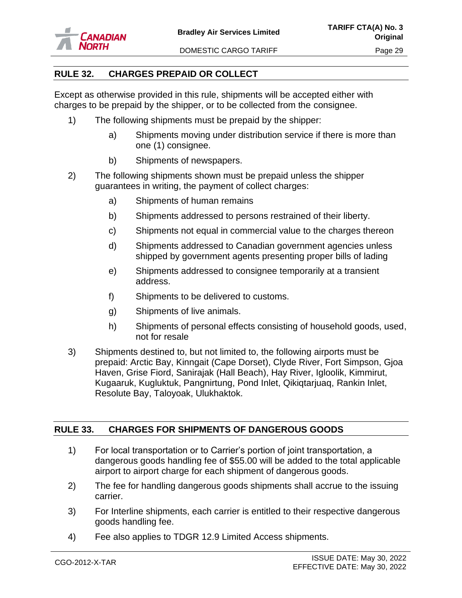# <span id="page-28-0"></span>**RULE 32. CHARGES PREPAID OR COLLECT**

Except as otherwise provided in this rule, shipments will be accepted either with charges to be prepaid by the shipper, or to be collected from the consignee.

- 1) The following shipments must be prepaid by the shipper:
	- a) Shipments moving under distribution service if there is more than one (1) consignee.
	- b) Shipments of newspapers.
- 2) The following shipments shown must be prepaid unless the shipper guarantees in writing, the payment of collect charges:
	- a) Shipments of human remains
	- b) Shipments addressed to persons restrained of their liberty.
	- c) Shipments not equal in commercial value to the charges thereon
	- d) Shipments addressed to Canadian government agencies unless shipped by government agents presenting proper bills of lading
	- e) Shipments addressed to consignee temporarily at a transient address.
	- f) Shipments to be delivered to customs.
	- g) Shipments of live animals.
	- h) Shipments of personal effects consisting of household goods, used, not for resale
- 3) Shipments destined to, but not limited to, the following airports must be prepaid: Arctic Bay, Kinngait (Cape Dorset), Clyde River, Fort Simpson, Gjoa Haven, Grise Fiord, Sanirajak (Hall Beach), Hay River, Igloolik, Kimmirut, Kugaaruk, Kugluktuk, Pangnirtung, Pond Inlet, Qikiqtarjuaq, Rankin Inlet, Resolute Bay, Taloyoak, Ulukhaktok.

#### <span id="page-28-1"></span>**RULE 33. CHARGES FOR SHIPMENTS OF DANGEROUS GOODS**

- 1) For local transportation or to Carrier's portion of joint transportation, a dangerous goods handling fee of \$55.00 will be added to the total applicable airport to airport charge for each shipment of dangerous goods.
- 2) The fee for handling dangerous goods shipments shall accrue to the issuing carrier.
- 3) For Interline shipments, each carrier is entitled to their respective dangerous goods handling fee.
- 4) Fee also applies to TDGR 12.9 Limited Access shipments.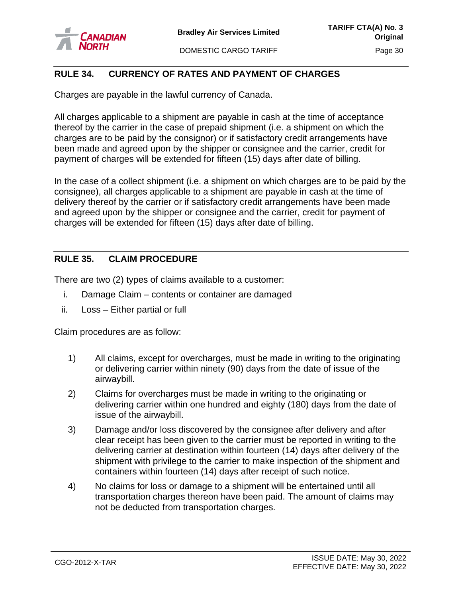# <span id="page-29-0"></span>**RULE 34. CURRENCY OF RATES AND PAYMENT OF CHARGES**

Charges are payable in the lawful currency of Canada.

All charges applicable to a shipment are payable in cash at the time of acceptance thereof by the carrier in the case of prepaid shipment (i.e. a shipment on which the charges are to be paid by the consignor) or if satisfactory credit arrangements have been made and agreed upon by the shipper or consignee and the carrier, credit for payment of charges will be extended for fifteen (15) days after date of billing.

In the case of a collect shipment (i.e. a shipment on which charges are to be paid by the consignee), all charges applicable to a shipment are payable in cash at the time of delivery thereof by the carrier or if satisfactory credit arrangements have been made and agreed upon by the shipper or consignee and the carrier, credit for payment of charges will be extended for fifteen (15) days after date of billing.

### <span id="page-29-1"></span>**RULE 35. CLAIM PROCEDURE**

There are two (2) types of claims available to a customer:

- i. Damage Claim contents or container are damaged
- ii. Loss Either partial or full

Claim procedures are as follow:

- 1) All claims, except for overcharges, must be made in writing to the originating or delivering carrier within ninety (90) days from the date of issue of the airwaybill.
- 2) Claims for overcharges must be made in writing to the originating or delivering carrier within one hundred and eighty (180) days from the date of issue of the airwaybill.
- 3) Damage and/or loss discovered by the consignee after delivery and after clear receipt has been given to the carrier must be reported in writing to the delivering carrier at destination within fourteen (14) days after delivery of the shipment with privilege to the carrier to make inspection of the shipment and containers within fourteen (14) days after receipt of such notice.
- 4) No claims for loss or damage to a shipment will be entertained until all transportation charges thereon have been paid. The amount of claims may not be deducted from transportation charges.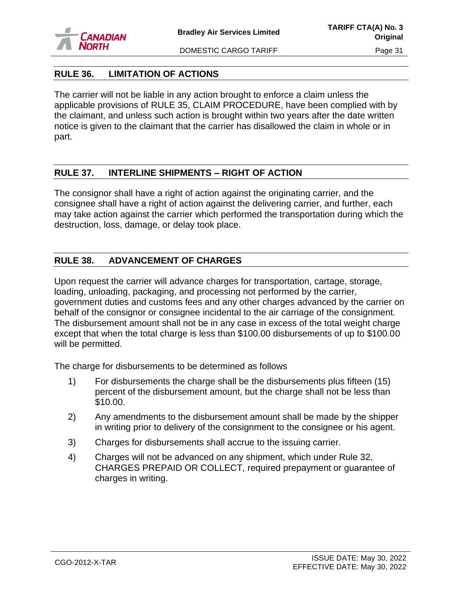

#### <span id="page-30-0"></span>**RULE 36. LIMITATION OF ACTIONS**

The carrier will not be liable in any action brought to enforce a claim unless the applicable provisions of RULE 35, CLAIM PROCEDURE, have been complied with by the claimant, and unless such action is brought within two years after the date written notice is given to the claimant that the carrier has disallowed the claim in whole or in part.

#### <span id="page-30-1"></span>**RULE 37. INTERLINE SHIPMENTS – RIGHT OF ACTION**

The consignor shall have a right of action against the originating carrier, and the consignee shall have a right of action against the delivering carrier, and further, each may take action against the carrier which performed the transportation during which the destruction, loss, damage, or delay took place.

### <span id="page-30-2"></span>**RULE 38. ADVANCEMENT OF CHARGES**

Upon request the carrier will advance charges for transportation, cartage, storage, loading, unloading, packaging, and processing not performed by the carrier, government duties and customs fees and any other charges advanced by the carrier on behalf of the consignor or consignee incidental to the air carriage of the consignment. The disbursement amount shall not be in any case in excess of the total weight charge except that when the total charge is less than \$100.00 disbursements of up to \$100.00 will be permitted.

The charge for disbursements to be determined as follows

- 1) For disbursements the charge shall be the disbursements plus fifteen (15) percent of the disbursement amount, but the charge shall not be less than \$10.00.
- 2) Any amendments to the disbursement amount shall be made by the shipper in writing prior to delivery of the consignment to the consignee or his agent.
- 3) Charges for disbursements shall accrue to the issuing carrier.
- 4) Charges will not be advanced on any shipment, which under Rule 32, CHARGES PREPAID OR COLLECT, required prepayment or guarantee of charges in writing.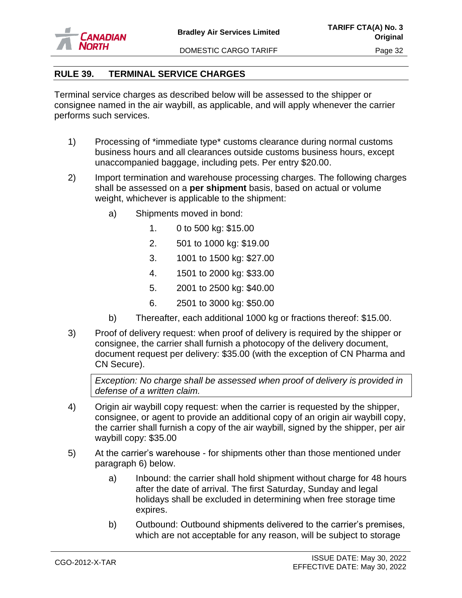#### <span id="page-31-0"></span>**RULE 39. TERMINAL SERVICE CHARGES**

Terminal service charges as described below will be assessed to the shipper or consignee named in the air waybill, as applicable, and will apply whenever the carrier performs such services.

- 1) Processing of \*immediate type\* customs clearance during normal customs business hours and all clearances outside customs business hours, except unaccompanied baggage, including pets. Per entry \$20.00.
- 2) Import termination and warehouse processing charges. The following charges shall be assessed on a **per shipment** basis, based on actual or volume weight, whichever is applicable to the shipment:
	- a) Shipments moved in bond:
		- 1. 0 to 500 kg: \$15.00
		- 2. 501 to 1000 kg: \$19.00
		- 3. 1001 to 1500 kg: \$27.00
		- 4. 1501 to 2000 kg: \$33.00
		- 5. 2001 to 2500 kg: \$40.00
		- 6. 2501 to 3000 kg: \$50.00
	- b) Thereafter, each additional 1000 kg or fractions thereof: \$15.00.
- 3) Proof of delivery request: when proof of delivery is required by the shipper or consignee, the carrier shall furnish a photocopy of the delivery document, document request per delivery: \$35.00 (with the exception of CN Pharma and CN Secure).

*Exception: No charge shall be assessed when proof of delivery is provided in defense of a written claim.*

- 4) Origin air waybill copy request: when the carrier is requested by the shipper, consignee, or agent to provide an additional copy of an origin air waybill copy, the carrier shall furnish a copy of the air waybill, signed by the shipper, per air waybill copy: \$35.00
- 5) At the carrier's warehouse for shipments other than those mentioned under paragraph 6) below.
	- a) Inbound: the carrier shall hold shipment without charge for 48 hours after the date of arrival. The first Saturday, Sunday and legal holidays shall be excluded in determining when free storage time expires.
	- b) Outbound: Outbound shipments delivered to the carrier's premises, which are not acceptable for any reason, will be subject to storage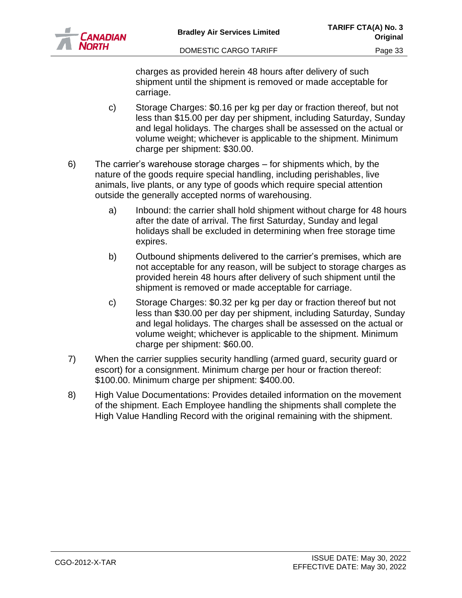

charges as provided herein 48 hours after delivery of such shipment until the shipment is removed or made acceptable for carriage.

- c) Storage Charges: \$0.16 per kg per day or fraction thereof, but not less than \$15.00 per day per shipment, including Saturday, Sunday and legal holidays. The charges shall be assessed on the actual or volume weight; whichever is applicable to the shipment. Minimum charge per shipment: \$30.00.
- 6) The carrier's warehouse storage charges for shipments which, by the nature of the goods require special handling, including perishables, live animals, live plants, or any type of goods which require special attention outside the generally accepted norms of warehousing.
	- a) Inbound: the carrier shall hold shipment without charge for 48 hours after the date of arrival. The first Saturday, Sunday and legal holidays shall be excluded in determining when free storage time expires.
	- b) Outbound shipments delivered to the carrier's premises, which are not acceptable for any reason, will be subject to storage charges as provided herein 48 hours after delivery of such shipment until the shipment is removed or made acceptable for carriage.
	- c) Storage Charges: \$0.32 per kg per day or fraction thereof but not less than \$30.00 per day per shipment, including Saturday, Sunday and legal holidays. The charges shall be assessed on the actual or volume weight; whichever is applicable to the shipment. Minimum charge per shipment: \$60.00.
- 7) When the carrier supplies security handling (armed guard, security guard or escort) for a consignment. Minimum charge per hour or fraction thereof: \$100.00. Minimum charge per shipment: \$400.00.
- 8) High Value Documentations: Provides detailed information on the movement of the shipment. Each Employee handling the shipments shall complete the High Value Handling Record with the original remaining with the shipment.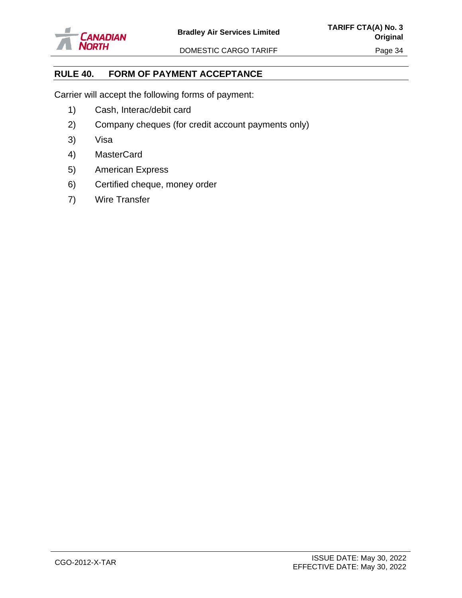

#### <span id="page-33-0"></span>**RULE 40. FORM OF PAYMENT ACCEPTANCE**

Carrier will accept the following forms of payment:

- 1) Cash, Interac/debit card
- 2) Company cheques (for credit account payments only)
- 3) Visa
- 4) MasterCard
- 5) American Express
- 6) Certified cheque, money order
- 7) Wire Transfer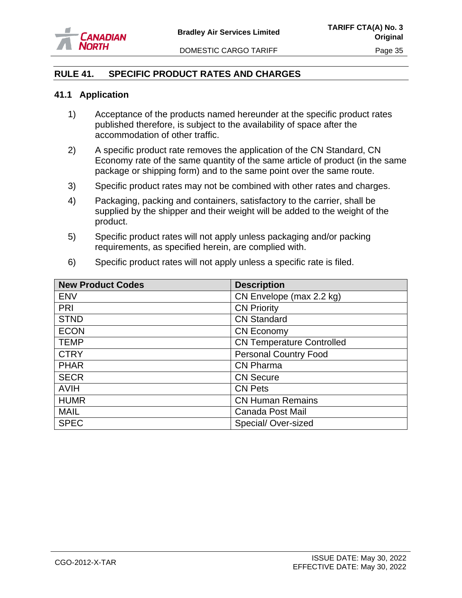

#### <span id="page-34-0"></span>**RULE 41. SPECIFIC PRODUCT RATES AND CHARGES**

#### **41.1 Application**

- 1) Acceptance of the products named hereunder at the specific product rates published therefore, is subject to the availability of space after the accommodation of other traffic.
- 2) A specific product rate removes the application of the CN Standard, CN Economy rate of the same quantity of the same article of product (in the same package or shipping form) and to the same point over the same route.
- 3) Specific product rates may not be combined with other rates and charges.
- 4) Packaging, packing and containers, satisfactory to the carrier, shall be supplied by the shipper and their weight will be added to the weight of the product.
- 5) Specific product rates will not apply unless packaging and/or packing requirements, as specified herein, are complied with.
- 6) Specific product rates will not apply unless a specific rate is filed.

| <b>New Product Codes</b> | <b>Description</b>               |  |  |
|--------------------------|----------------------------------|--|--|
| <b>ENV</b>               | CN Envelope (max 2.2 kg)         |  |  |
| PRI                      | <b>CN Priority</b>               |  |  |
| <b>STND</b>              | <b>CN Standard</b>               |  |  |
| <b>ECON</b>              | <b>CN Economy</b>                |  |  |
| <b>TEMP</b>              | <b>CN Temperature Controlled</b> |  |  |
| <b>CTRY</b>              | <b>Personal Country Food</b>     |  |  |
| <b>PHAR</b>              | <b>CN Pharma</b>                 |  |  |
| <b>SECR</b>              | <b>CN Secure</b>                 |  |  |
| <b>AVIH</b>              | <b>CN Pets</b>                   |  |  |
| <b>HUMR</b>              | <b>CN Human Remains</b>          |  |  |
| <b>MAIL</b>              | Canada Post Mail                 |  |  |
| <b>SPEC</b>              | Special/Over-sized               |  |  |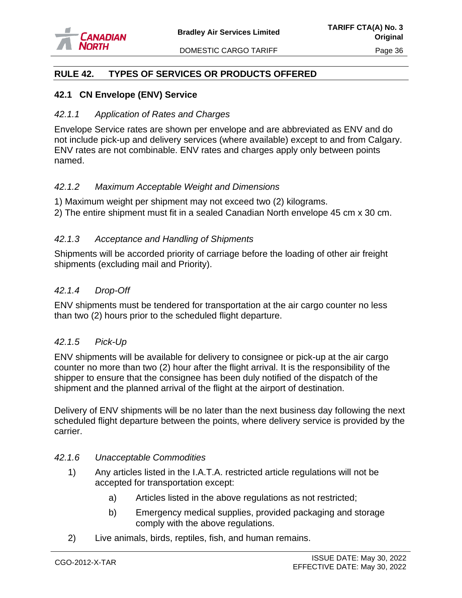

DOMESTIC CARGO TARIFF PAGE 36

#### <span id="page-35-0"></span>**RULE 42. TYPES OF SERVICES OR PRODUCTS OFFERED**

#### **42.1 CN Envelope (ENV) Service**

#### *42.1.1 Application of Rates and Charges*

Envelope Service rates are shown per envelope and are abbreviated as ENV and do not include pick-up and delivery services (where available) except to and from Calgary. ENV rates are not combinable. ENV rates and charges apply only between points named.

#### *42.1.2 Maximum Acceptable Weight and Dimensions*

1) Maximum weight per shipment may not exceed two (2) kilograms.

2) The entire shipment must fit in a sealed Canadian North envelope 45 cm x 30 cm.

#### *42.1.3 Acceptance and Handling of Shipments*

Shipments will be accorded priority of carriage before the loading of other air freight shipments (excluding mail and Priority).

#### *42.1.4 Drop-Off*

ENV shipments must be tendered for transportation at the air cargo counter no less than two (2) hours prior to the scheduled flight departure.

#### *42.1.5 Pick-Up*

ENV shipments will be available for delivery to consignee or pick-up at the air cargo counter no more than two (2) hour after the flight arrival. It is the responsibility of the shipper to ensure that the consignee has been duly notified of the dispatch of the shipment and the planned arrival of the flight at the airport of destination.

Delivery of ENV shipments will be no later than the next business day following the next scheduled flight departure between the points, where delivery service is provided by the carrier.

#### *42.1.6 Unacceptable Commodities*

- 1) Any articles listed in the I.A.T.A. restricted article regulations will not be accepted for transportation except:
	- a) Articles listed in the above regulations as not restricted;
	- b) Emergency medical supplies, provided packaging and storage comply with the above regulations.
- 2) Live animals, birds, reptiles, fish, and human remains.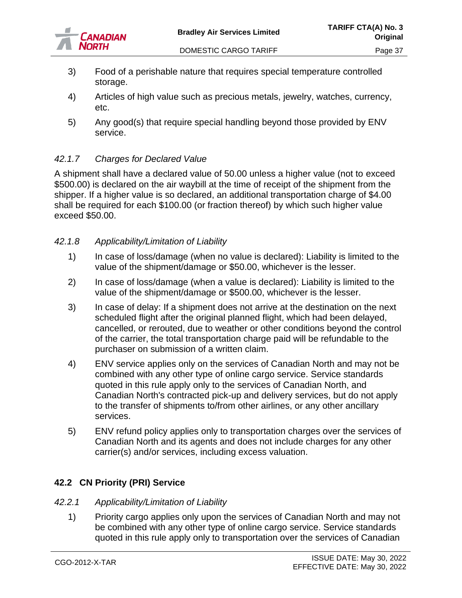

- 3) Food of a perishable nature that requires special temperature controlled storage.
- 4) Articles of high value such as precious metals, jewelry, watches, currency, etc.
- 5) Any good(s) that require special handling beyond those provided by ENV service.

### *42.1.7 Charges for Declared Value*

A shipment shall have a declared value of 50.00 unless a higher value (not to exceed \$500.00) is declared on the air waybill at the time of receipt of the shipment from the shipper. If a higher value is so declared, an additional transportation charge of \$4.00 shall be required for each \$100.00 (or fraction thereof) by which such higher value exceed \$50.00.

#### *42.1.8 Applicability/Limitation of Liability*

- 1) In case of loss/damage (when no value is declared): Liability is limited to the value of the shipment/damage or \$50.00, whichever is the lesser.
- 2) In case of loss/damage (when a value is declared): Liability is limited to the value of the shipment/damage or \$500.00, whichever is the lesser.
- 3) In case of delay: If a shipment does not arrive at the destination on the next scheduled flight after the original planned flight, which had been delayed, cancelled, or rerouted, due to weather or other conditions beyond the control of the carrier, the total transportation charge paid will be refundable to the purchaser on submission of a written claim.
- 4) ENV service applies only on the services of Canadian North and may not be combined with any other type of online cargo service. Service standards quoted in this rule apply only to the services of Canadian North, and Canadian North's contracted pick-up and delivery services, but do not apply to the transfer of shipments to/from other airlines, or any other ancillary services.
- 5) ENV refund policy applies only to transportation charges over the services of Canadian North and its agents and does not include charges for any other carrier(s) and/or services, including excess valuation.

# **42.2 CN Priority (PRI) Service**

#### *42.2.1 Applicability/Limitation of Liability*

1) Priority cargo applies only upon the services of Canadian North and may not be combined with any other type of online cargo service. Service standards quoted in this rule apply only to transportation over the services of Canadian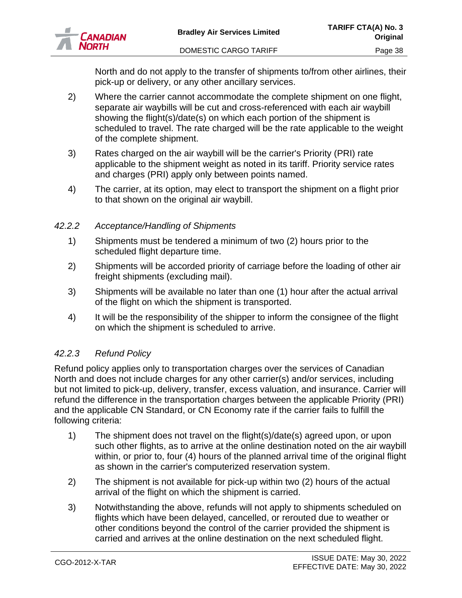North and do not apply to the transfer of shipments to/from other airlines, their pick-up or delivery, or any other ancillary services.

- 2) Where the carrier cannot accommodate the complete shipment on one flight, separate air waybills will be cut and cross-referenced with each air waybill showing the flight(s)/date(s) on which each portion of the shipment is scheduled to travel. The rate charged will be the rate applicable to the weight of the complete shipment.
- 3) Rates charged on the air waybill will be the carrier's Priority (PRI) rate applicable to the shipment weight as noted in its tariff. Priority service rates and charges (PRI) apply only between points named.
- 4) The carrier, at its option, may elect to transport the shipment on a flight prior to that shown on the original air waybill.

### *42.2.2 Acceptance/Handling of Shipments*

- 1) Shipments must be tendered a minimum of two (2) hours prior to the scheduled flight departure time.
- 2) Shipments will be accorded priority of carriage before the loading of other air freight shipments (excluding mail).
- 3) Shipments will be available no later than one (1) hour after the actual arrival of the flight on which the shipment is transported.
- 4) It will be the responsibility of the shipper to inform the consignee of the flight on which the shipment is scheduled to arrive.

# *42.2.3 Refund Policy*

Refund policy applies only to transportation charges over the services of Canadian North and does not include charges for any other carrier(s) and/or services, including but not limited to pick-up, delivery, transfer, excess valuation, and insurance. Carrier will refund the difference in the transportation charges between the applicable Priority (PRI) and the applicable CN Standard, or CN Economy rate if the carrier fails to fulfill the following criteria:

- 1) The shipment does not travel on the flight(s)/date(s) agreed upon, or upon such other flights, as to arrive at the online destination noted on the air waybill within, or prior to, four (4) hours of the planned arrival time of the original flight as shown in the carrier's computerized reservation system.
- 2) The shipment is not available for pick-up within two (2) hours of the actual arrival of the flight on which the shipment is carried.
- 3) Notwithstanding the above, refunds will not apply to shipments scheduled on flights which have been delayed, cancelled, or rerouted due to weather or other conditions beyond the control of the carrier provided the shipment is carried and arrives at the online destination on the next scheduled flight.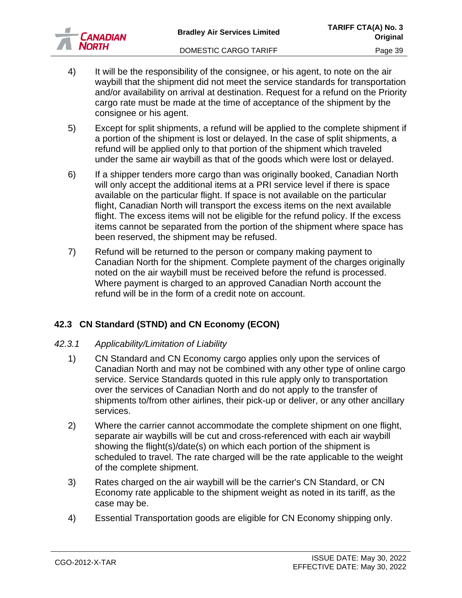

- 4) It will be the responsibility of the consignee, or his agent, to note on the air waybill that the shipment did not meet the service standards for transportation and/or availability on arrival at destination. Request for a refund on the Priority cargo rate must be made at the time of acceptance of the shipment by the consignee or his agent.
- 5) Except for split shipments, a refund will be applied to the complete shipment if a portion of the shipment is lost or delayed. In the case of split shipments, a refund will be applied only to that portion of the shipment which traveled under the same air waybill as that of the goods which were lost or delayed.
- 6) If a shipper tenders more cargo than was originally booked, Canadian North will only accept the additional items at a PRI service level if there is space available on the particular flight. If space is not available on the particular flight, Canadian North will transport the excess items on the next available flight. The excess items will not be eligible for the refund policy. If the excess items cannot be separated from the portion of the shipment where space has been reserved, the shipment may be refused.
- 7) Refund will be returned to the person or company making payment to Canadian North for the shipment. Complete payment of the charges originally noted on the air waybill must be received before the refund is processed. Where payment is charged to an approved Canadian North account the refund will be in the form of a credit note on account.

# **42.3 CN Standard (STND) and CN Economy (ECON)**

#### *42.3.1 Applicability/Limitation of Liability*

- 1) CN Standard and CN Economy cargo applies only upon the services of Canadian North and may not be combined with any other type of online cargo service. Service Standards quoted in this rule apply only to transportation over the services of Canadian North and do not apply to the transfer of shipments to/from other airlines, their pick-up or deliver, or any other ancillary services.
- 2) Where the carrier cannot accommodate the complete shipment on one flight, separate air waybills will be cut and cross-referenced with each air waybill showing the flight(s)/date(s) on which each portion of the shipment is scheduled to travel. The rate charged will be the rate applicable to the weight of the complete shipment.
- 3) Rates charged on the air waybill will be the carrier's CN Standard, or CN Economy rate applicable to the shipment weight as noted in its tariff, as the case may be.
- 4) Essential Transportation goods are eligible for CN Economy shipping only.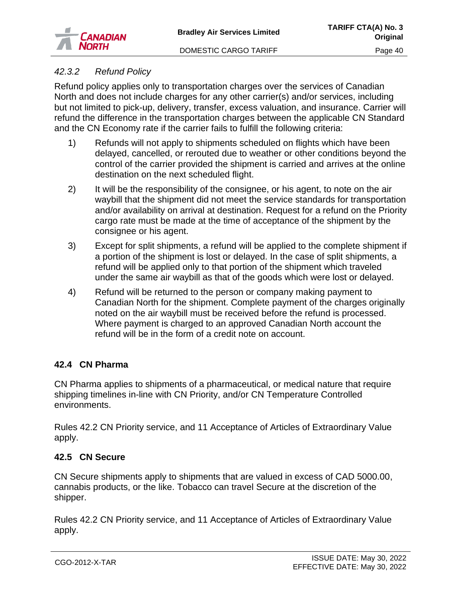

# *42.3.2 Refund Policy*

Refund policy applies only to transportation charges over the services of Canadian North and does not include charges for any other carrier(s) and/or services, including but not limited to pick-up, delivery, transfer, excess valuation, and insurance. Carrier will refund the difference in the transportation charges between the applicable CN Standard and the CN Economy rate if the carrier fails to fulfill the following criteria:

- 1) Refunds will not apply to shipments scheduled on flights which have been delayed, cancelled, or rerouted due to weather or other conditions beyond the control of the carrier provided the shipment is carried and arrives at the online destination on the next scheduled flight.
- 2) It will be the responsibility of the consignee, or his agent, to note on the air waybill that the shipment did not meet the service standards for transportation and/or availability on arrival at destination. Request for a refund on the Priority cargo rate must be made at the time of acceptance of the shipment by the consignee or his agent.
- 3) Except for split shipments, a refund will be applied to the complete shipment if a portion of the shipment is lost or delayed. In the case of split shipments, a refund will be applied only to that portion of the shipment which traveled under the same air waybill as that of the goods which were lost or delayed.
- 4) Refund will be returned to the person or company making payment to Canadian North for the shipment. Complete payment of the charges originally noted on the air waybill must be received before the refund is processed. Where payment is charged to an approved Canadian North account the refund will be in the form of a credit note on account.

#### **42.4 CN Pharma**

CN Pharma applies to shipments of a pharmaceutical, or medical nature that require shipping timelines in-line with CN Priority, and/or CN Temperature Controlled environments.

Rules 42.2 CN Priority service, and 11 Acceptance of Articles of Extraordinary Value apply.

#### **42.5 CN Secure**

CN Secure shipments apply to shipments that are valued in excess of CAD 5000.00, cannabis products, or the like. Tobacco can travel Secure at the discretion of the shipper.

Rules 42.2 CN Priority service, and 11 Acceptance of Articles of Extraordinary Value apply.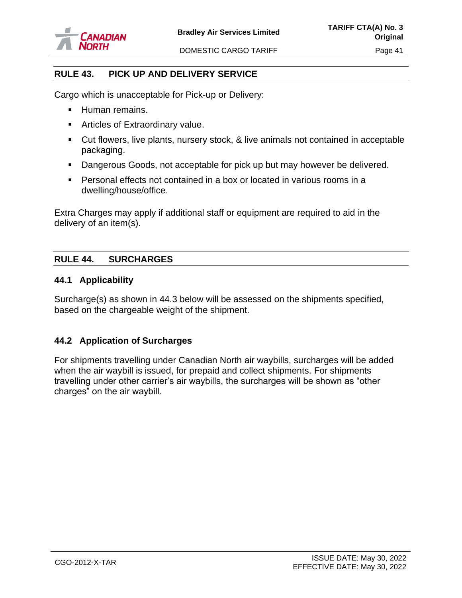

# <span id="page-40-0"></span>**RULE 43. PICK UP AND DELIVERY SERVICE**

Cargo which is unacceptable for Pick-up or Delivery:

- Human remains.
- **EXTED** Articles of Extraordinary value.
- Cut flowers, live plants, nursery stock, & live animals not contained in acceptable packaging.
- Dangerous Goods, not acceptable for pick up but may however be delivered.
- Personal effects not contained in a box or located in various rooms in a dwelling/house/office.

Extra Charges may apply if additional staff or equipment are required to aid in the delivery of an item(s).

### <span id="page-40-1"></span>**RULE 44. SURCHARGES**

#### **44.1 Applicability**

Surcharge(s) as shown in 44.3 below will be assessed on the shipments specified, based on the chargeable weight of the shipment.

#### **44.2 Application of Surcharges**

For shipments travelling under Canadian North air waybills, surcharges will be added when the air waybill is issued, for prepaid and collect shipments. For shipments travelling under other carrier's air waybills, the surcharges will be shown as "other charges" on the air waybill.